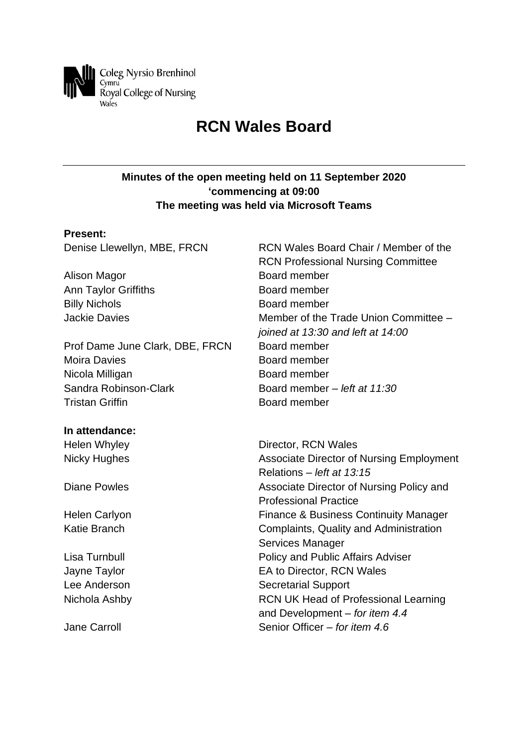

# **RCN Wales Board**

## **Minutes of the open meeting held on 11 September 2020 'commencing at 09:00 The meeting was held via Microsoft Teams**

#### **Present:**

Alison Magor **Board member** Ann Taylor Griffiths **Board member** Billy Nichols **Board member** 

Prof Dame June Clark, DBE, FRCN Board member Moira Davies **Board member** Nicola Milligan Board member Sandra Robinson-Clark Board member *– left at 11:30* **Tristan Griffin Board member** 

#### **In attendance:**

Denise Llewellyn, MBE, FRCN RCN Wales Board Chair / Member of the RCN Professional Nursing Committee Jackie Davies Member of the Trade Union Committee *– joined at 13:30 and left at 14:00*

Helen Whyley **Director, RCN Wales** Nicky Hughes **Associate Director of Nursing Employment** Relations *– left at 13:15* Diane Powles **Associate Director of Nursing Policy and** Professional Practice Helen Carlyon **Finance & Business Continuity Manager** Katie Branch **Complaints**, Quality and Administration Services Manager Lisa Turnbull Policy and Public Affairs Adviser Jayne Taylor EA to Director, RCN Wales Lee Anderson Secretarial Support Nichola Ashby RCN UK Head of Professional Learning and Development *– for item 4.4* Jane Carroll Senior Officer *– for item 4.6*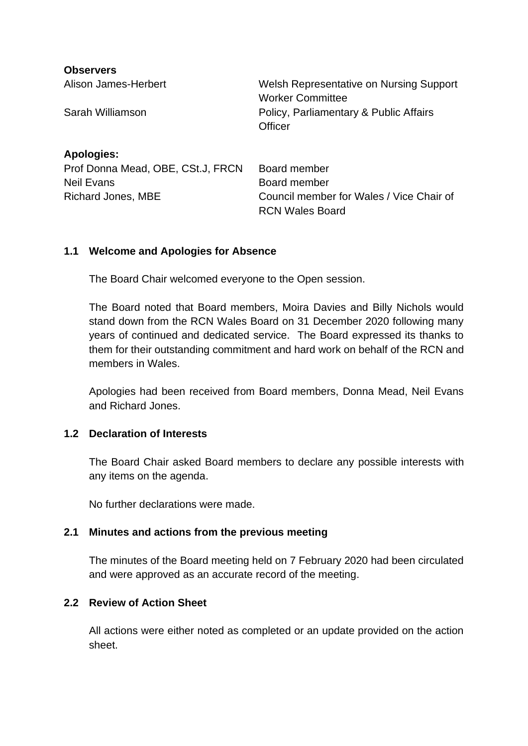| <b>Observers</b>                  |                                                                    |
|-----------------------------------|--------------------------------------------------------------------|
| Alison James-Herbert              | Welsh Representative on Nursing Support<br><b>Worker Committee</b> |
| Sarah Williamson                  | Policy, Parliamentary & Public Affairs<br>Officer                  |
| <b>Apologies:</b>                 |                                                                    |
| Prof Donna Mead, OBE, CSt.J, FRCN | Board member                                                       |
| <b>Neil Evans</b>                 | Board member                                                       |
| Richard Jones, MBE                | Council member for Wales / Vice Chair of<br><b>RCN Wales Board</b> |

#### **1.1 Welcome and Apologies for Absence**

The Board Chair welcomed everyone to the Open session.

The Board noted that Board members, Moira Davies and Billy Nichols would stand down from the RCN Wales Board on 31 December 2020 following many years of continued and dedicated service. The Board expressed its thanks to them for their outstanding commitment and hard work on behalf of the RCN and members in Wales.

Apologies had been received from Board members, Donna Mead, Neil Evans and Richard Jones.

#### **1.2 Declaration of Interests**

The Board Chair asked Board members to declare any possible interests with any items on the agenda.

No further declarations were made.

#### **2.1 Minutes and actions from the previous meeting**

The minutes of the Board meeting held on 7 February 2020 had been circulated and were approved as an accurate record of the meeting.

#### **2.2 Review of Action Sheet**

All actions were either noted as completed or an update provided on the action sheet.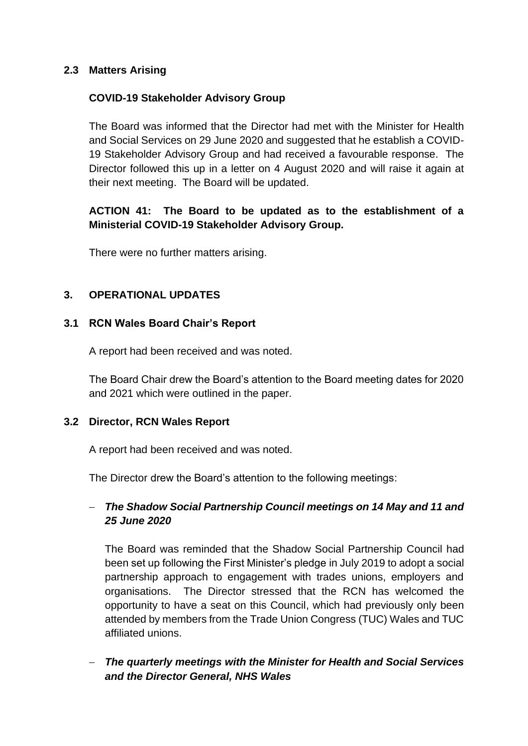## **2.3 Matters Arising**

#### **COVID-19 Stakeholder Advisory Group**

The Board was informed that the Director had met with the Minister for Health and Social Services on 29 June 2020 and suggested that he establish a COVID-19 Stakeholder Advisory Group and had received a favourable response. The Director followed this up in a letter on 4 August 2020 and will raise it again at their next meeting. The Board will be updated.

# **ACTION 41: The Board to be updated as to the establishment of a Ministerial COVID-19 Stakeholder Advisory Group.**

There were no further matters arising.

## **3. OPERATIONAL UPDATES**

#### **3.1 RCN Wales Board Chair's Report**

A report had been received and was noted.

The Board Chair drew the Board's attention to the Board meeting dates for 2020 and 2021 which were outlined in the paper.

#### **3.2 Director, RCN Wales Report**

A report had been received and was noted.

The Director drew the Board's attention to the following meetings:

# − *The Shadow Social Partnership Council meetings on 14 May and 11 and 25 June 2020*

The Board was reminded that the Shadow Social Partnership Council had been set up following the First Minister's pledge in July 2019 to adopt a social partnership approach to engagement with trades unions, employers and organisations. The Director stressed that the RCN has welcomed the opportunity to have a seat on this Council, which had previously only been attended by members from the Trade Union Congress (TUC) Wales and TUC affiliated unions.

− *The quarterly meetings with the Minister for Health and Social Services and the Director General, NHS Wales*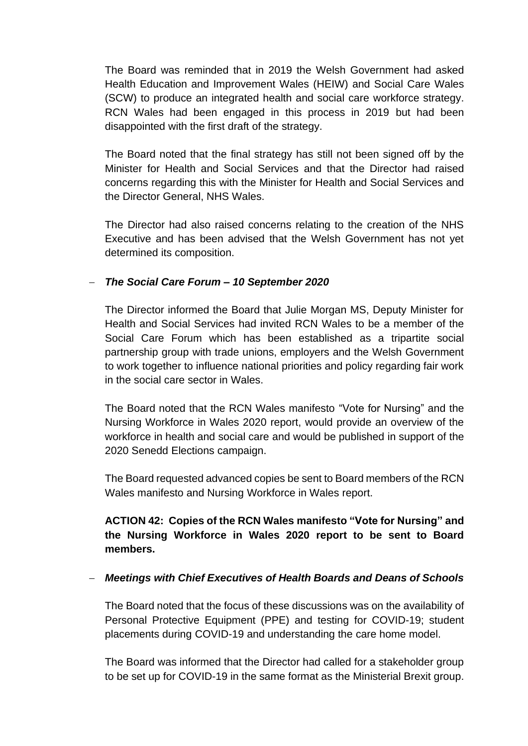The Board was reminded that in 2019 the Welsh Government had asked Health Education and Improvement Wales (HEIW) and Social Care Wales (SCW) to produce an integrated health and social care workforce strategy. RCN Wales had been engaged in this process in 2019 but had been disappointed with the first draft of the strategy.

The Board noted that the final strategy has still not been signed off by the Minister for Health and Social Services and that the Director had raised concerns regarding this with the Minister for Health and Social Services and the Director General, NHS Wales.

The Director had also raised concerns relating to the creation of the NHS Executive and has been advised that the Welsh Government has not yet determined its composition.

#### − *The Social Care Forum – 10 September 2020*

The Director informed the Board that Julie Morgan MS, Deputy Minister for Health and Social Services had invited RCN Wales to be a member of the Social Care Forum which has been established as a tripartite social partnership group with trade unions, employers and the Welsh Government to work together to influence national priorities and policy regarding fair work in the social care sector in Wales.

The Board noted that the RCN Wales manifesto "Vote for Nursing" and the Nursing Workforce in Wales 2020 report, would provide an overview of the workforce in health and social care and would be published in support of the 2020 Senedd Elections campaign.

The Board requested advanced copies be sent to Board members of the RCN Wales manifesto and Nursing Workforce in Wales report.

# **ACTION 42: Copies of the RCN Wales manifesto "Vote for Nursing" and the Nursing Workforce in Wales 2020 report to be sent to Board members.**

## − *Meetings with Chief Executives of Health Boards and Deans of Schools*

The Board noted that the focus of these discussions was on the availability of Personal Protective Equipment (PPE) and testing for COVID-19; student placements during COVID-19 and understanding the care home model.

The Board was informed that the Director had called for a stakeholder group to be set up for COVID-19 in the same format as the Ministerial Brexit group.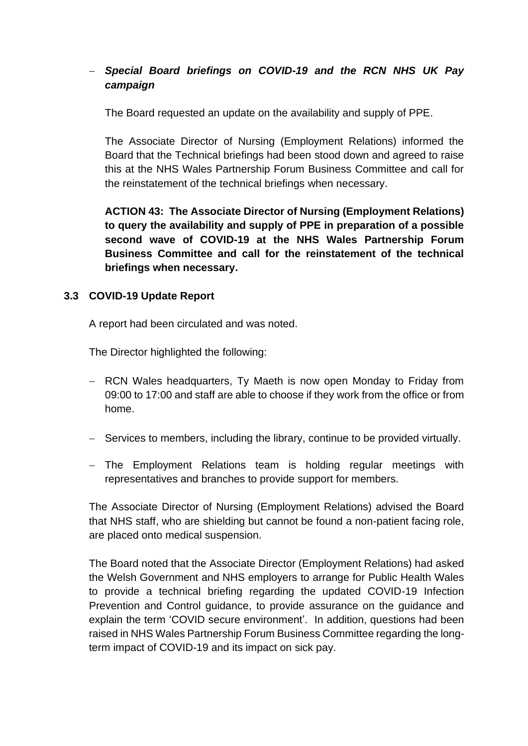# − *Special Board briefings on COVID-19 and the RCN NHS UK Pay campaign*

The Board requested an update on the availability and supply of PPE.

The Associate Director of Nursing (Employment Relations) informed the Board that the Technical briefings had been stood down and agreed to raise this at the NHS Wales Partnership Forum Business Committee and call for the reinstatement of the technical briefings when necessary.

**ACTION 43: The Associate Director of Nursing (Employment Relations) to query the availability and supply of PPE in preparation of a possible second wave of COVID-19 at the NHS Wales Partnership Forum Business Committee and call for the reinstatement of the technical briefings when necessary.**

## **3.3 COVID-19 Update Report**

A report had been circulated and was noted.

The Director highlighted the following:

- − RCN Wales headquarters, Ty Maeth is now open Monday to Friday from 09:00 to 17:00 and staff are able to choose if they work from the office or from home.
- − Services to members, including the library, continue to be provided virtually.
- − The Employment Relations team is holding regular meetings with representatives and branches to provide support for members.

The Associate Director of Nursing (Employment Relations) advised the Board that NHS staff, who are shielding but cannot be found a non-patient facing role, are placed onto medical suspension.

The Board noted that the Associate Director (Employment Relations) had asked the Welsh Government and NHS employers to arrange for Public Health Wales to provide a technical briefing regarding the updated COVID-19 Infection Prevention and Control guidance, to provide assurance on the guidance and explain the term 'COVID secure environment'. In addition, questions had been raised in NHS Wales Partnership Forum Business Committee regarding the longterm impact of COVID-19 and its impact on sick pay.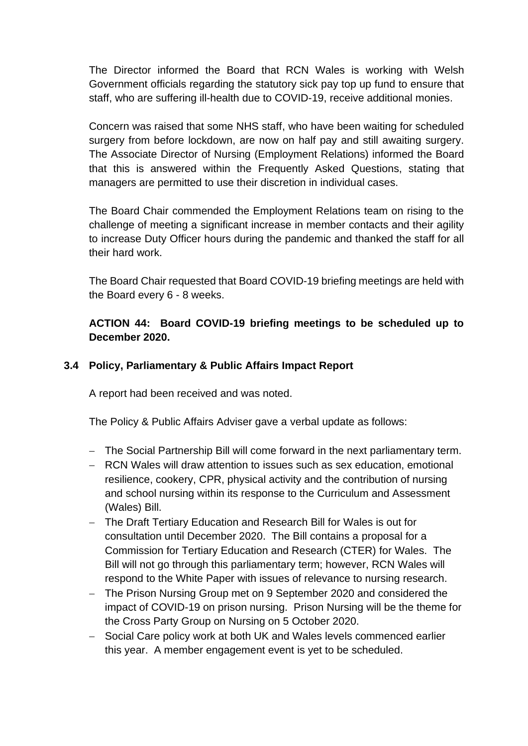The Director informed the Board that RCN Wales is working with Welsh Government officials regarding the statutory sick pay top up fund to ensure that staff, who are suffering ill-health due to COVID-19, receive additional monies.

Concern was raised that some NHS staff, who have been waiting for scheduled surgery from before lockdown, are now on half pay and still awaiting surgery. The Associate Director of Nursing (Employment Relations) informed the Board that this is answered within the Frequently Asked Questions, stating that managers are permitted to use their discretion in individual cases.

The Board Chair commended the Employment Relations team on rising to the challenge of meeting a significant increase in member contacts and their agility to increase Duty Officer hours during the pandemic and thanked the staff for all their hard work.

The Board Chair requested that Board COVID-19 briefing meetings are held with the Board every 6 - 8 weeks.

**ACTION 44: Board COVID-19 briefing meetings to be scheduled up to December 2020.**

#### **3.4 Policy, Parliamentary & Public Affairs Impact Report**

A report had been received and was noted.

The Policy & Public Affairs Adviser gave a verbal update as follows:

- − The Social Partnership Bill will come forward in the next parliamentary term.
- − RCN Wales will draw attention to issues such as sex education, emotional resilience, cookery, CPR, physical activity and the contribution of nursing and school nursing within its response to the Curriculum and Assessment (Wales) Bill.
- − The Draft Tertiary Education and Research Bill for Wales is out for consultation until December 2020. The Bill contains a proposal for a Commission for Tertiary Education and Research (CTER) for Wales. The Bill will not go through this parliamentary term; however, RCN Wales will respond to the White Paper with issues of relevance to nursing research.
- − The Prison Nursing Group met on 9 September 2020 and considered the impact of COVID-19 on prison nursing. Prison Nursing will be the theme for the Cross Party Group on Nursing on 5 October 2020.
- − Social Care policy work at both UK and Wales levels commenced earlier this year. A member engagement event is yet to be scheduled.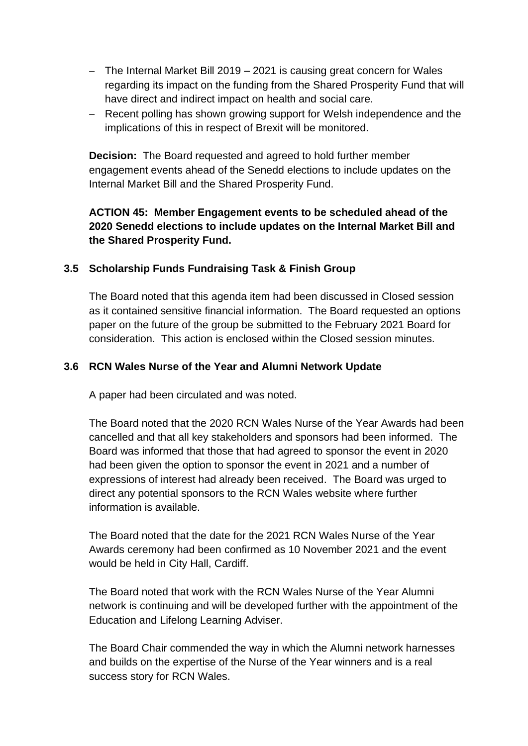- − The Internal Market Bill 2019 2021 is causing great concern for Wales regarding its impact on the funding from the Shared Prosperity Fund that will have direct and indirect impact on health and social care.
- − Recent polling has shown growing support for Welsh independence and the implications of this in respect of Brexit will be monitored.

**Decision:** The Board requested and agreed to hold further member engagement events ahead of the Senedd elections to include updates on the Internal Market Bill and the Shared Prosperity Fund.

# **ACTION 45: Member Engagement events to be scheduled ahead of the 2020 Senedd elections to include updates on the Internal Market Bill and the Shared Prosperity Fund.**

# **3.5 Scholarship Funds Fundraising Task & Finish Group**

The Board noted that this agenda item had been discussed in Closed session as it contained sensitive financial information. The Board requested an options paper on the future of the group be submitted to the February 2021 Board for consideration. This action is enclosed within the Closed session minutes.

# **3.6 RCN Wales Nurse of the Year and Alumni Network Update**

A paper had been circulated and was noted.

The Board noted that the 2020 RCN Wales Nurse of the Year Awards had been cancelled and that all key stakeholders and sponsors had been informed. The Board was informed that those that had agreed to sponsor the event in 2020 had been given the option to sponsor the event in 2021 and a number of expressions of interest had already been received. The Board was urged to direct any potential sponsors to the RCN Wales website where further information is available.

The Board noted that the date for the 2021 RCN Wales Nurse of the Year Awards ceremony had been confirmed as 10 November 2021 and the event would be held in City Hall, Cardiff.

The Board noted that work with the RCN Wales Nurse of the Year Alumni network is continuing and will be developed further with the appointment of the Education and Lifelong Learning Adviser.

The Board Chair commended the way in which the Alumni network harnesses and builds on the expertise of the Nurse of the Year winners and is a real success story for RCN Wales.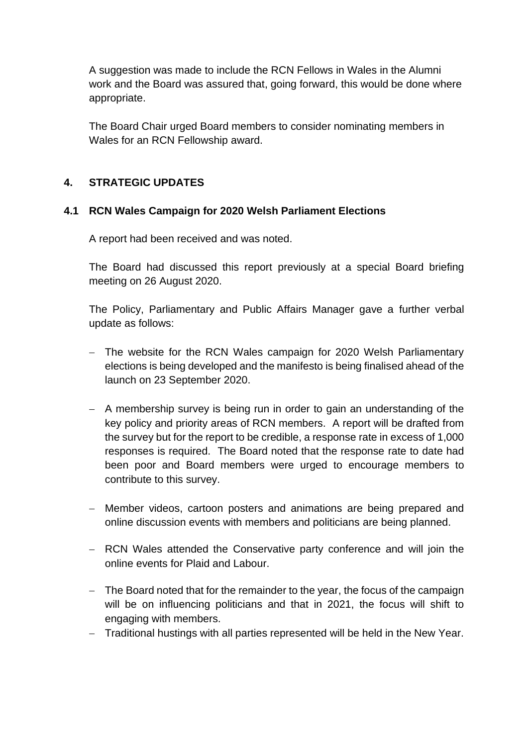A suggestion was made to include the RCN Fellows in Wales in the Alumni work and the Board was assured that, going forward, this would be done where appropriate.

The Board Chair urged Board members to consider nominating members in Wales for an RCN Fellowship award.

## **4. STRATEGIC UPDATES**

## **4.1 RCN Wales Campaign for 2020 Welsh Parliament Elections**

A report had been received and was noted.

The Board had discussed this report previously at a special Board briefing meeting on 26 August 2020.

The Policy, Parliamentary and Public Affairs Manager gave a further verbal update as follows:

- − The website for the RCN Wales campaign for 2020 Welsh Parliamentary elections is being developed and the manifesto is being finalised ahead of the launch on 23 September 2020.
- − A membership survey is being run in order to gain an understanding of the key policy and priority areas of RCN members. A report will be drafted from the survey but for the report to be credible, a response rate in excess of 1,000 responses is required. The Board noted that the response rate to date had been poor and Board members were urged to encourage members to contribute to this survey.
- − Member videos, cartoon posters and animations are being prepared and online discussion events with members and politicians are being planned.
- − RCN Wales attended the Conservative party conference and will join the online events for Plaid and Labour.
- − The Board noted that for the remainder to the year, the focus of the campaign will be on influencing politicians and that in 2021, the focus will shift to engaging with members.
- − Traditional hustings with all parties represented will be held in the New Year.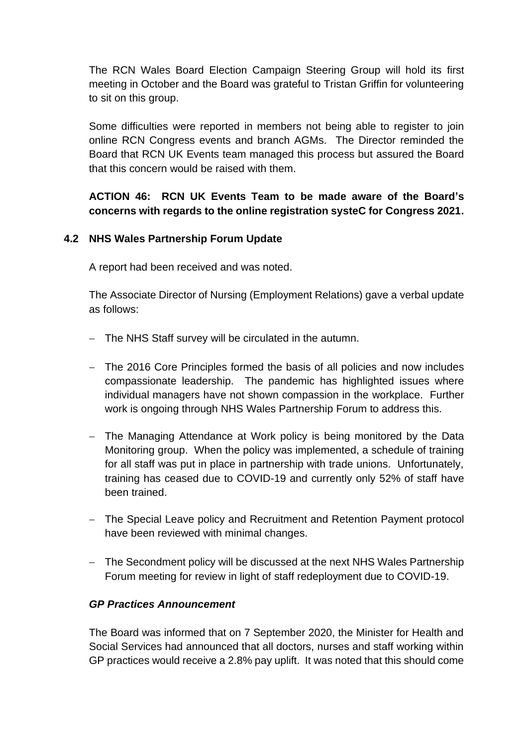The RCN Wales Board Election Campaign Steering Group will hold its first meeting in October and the Board was grateful to Tristan Griffin for volunteering to sit on this group.

Some difficulties were reported in members not being able to register to join online RCN Congress events and branch AGMs. The Director reminded the Board that RCN UK Events team managed this process but assured the Board that this concern would be raised with them.

# **ACTION 46: RCN UK Events Team to be made aware of the Board's concerns with regards to the online registration systeC for Congress 2021.**

# **4.2 NHS Wales Partnership Forum Update**

A report had been received and was noted.

The Associate Director of Nursing (Employment Relations) gave a verbal update as follows:

- − The NHS Staff survey will be circulated in the autumn.
- − The 2016 Core Principles formed the basis of all policies and now includes compassionate leadership. The pandemic has highlighted issues where individual managers have not shown compassion in the workplace. Further work is ongoing through NHS Wales Partnership Forum to address this.
- − The Managing Attendance at Work policy is being monitored by the Data Monitoring group. When the policy was implemented, a schedule of training for all staff was put in place in partnership with trade unions. Unfortunately, training has ceased due to COVID-19 and currently only 52% of staff have been trained.
- − The Special Leave policy and Recruitment and Retention Payment protocol have been reviewed with minimal changes.
- − The Secondment policy will be discussed at the next NHS Wales Partnership Forum meeting for review in light of staff redeployment due to COVID-19.

## *GP Practices Announcement*

The Board was informed that on 7 September 2020, the Minister for Health and Social Services had announced that all doctors, nurses and staff working within GP practices would receive a 2.8% pay uplift. It was noted that this should come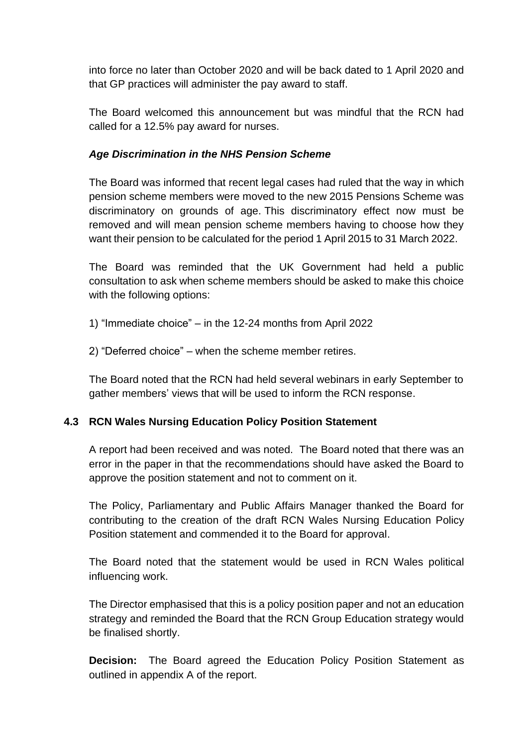into force no later than October 2020 and will be back dated to 1 April 2020 and that GP practices will administer the pay award to staff.

The Board welcomed this announcement but was mindful that the RCN had called for a 12.5% pay award for nurses.

## *Age Discrimination in the NHS Pension Scheme*

The Board was informed that recent legal cases had ruled that the way in which pension scheme members were moved to the new 2015 Pensions Scheme was discriminatory on grounds of age. This discriminatory effect now must be removed and will mean pension scheme members having to choose how they want their pension to be calculated for the period 1 April 2015 to 31 March 2022.

The Board was reminded that the UK Government had held a public consultation to ask when scheme members should be asked to make this choice with the following options:

1) "Immediate choice" – in the 12-24 months from April 2022

2) "Deferred choice" – when the scheme member retires.

The Board noted that the RCN had held several webinars in early September to gather members' views that will be used to inform the RCN response.

## **4.3 RCN Wales Nursing Education Policy Position Statement**

A report had been received and was noted. The Board noted that there was an error in the paper in that the recommendations should have asked the Board to approve the position statement and not to comment on it.

The Policy, Parliamentary and Public Affairs Manager thanked the Board for contributing to the creation of the draft RCN Wales Nursing Education Policy Position statement and commended it to the Board for approval.

The Board noted that the statement would be used in RCN Wales political influencing work.

The Director emphasised that this is a policy position paper and not an education strategy and reminded the Board that the RCN Group Education strategy would be finalised shortly.

**Decision:** The Board agreed the Education Policy Position Statement as outlined in appendix A of the report.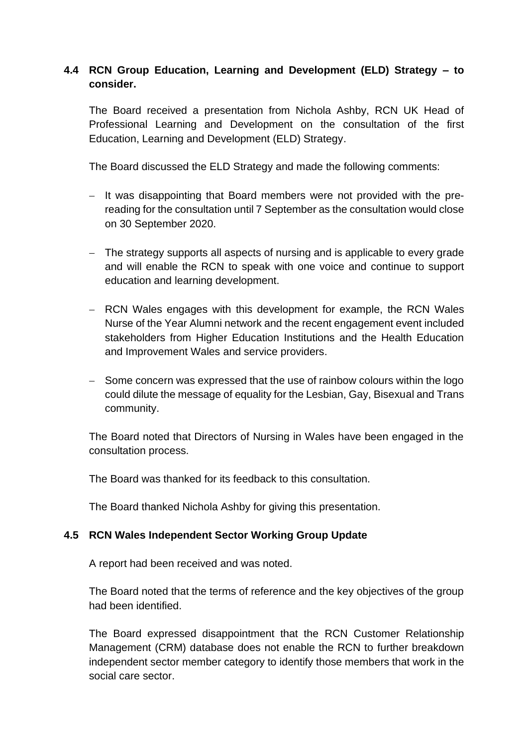# **4.4 RCN Group Education, Learning and Development (ELD) Strategy – to consider.**

The Board received a presentation from Nichola Ashby, RCN UK Head of Professional Learning and Development on the consultation of the first Education, Learning and Development (ELD) Strategy.

The Board discussed the ELD Strategy and made the following comments:

- − It was disappointing that Board members were not provided with the prereading for the consultation until 7 September as the consultation would close on 30 September 2020.
- − The strategy supports all aspects of nursing and is applicable to every grade and will enable the RCN to speak with one voice and continue to support education and learning development.
- − RCN Wales engages with this development for example, the RCN Wales Nurse of the Year Alumni network and the recent engagement event included stakeholders from Higher Education Institutions and the Health Education and Improvement Wales and service providers.
- − Some concern was expressed that the use of rainbow colours within the logo could dilute the message of equality for the Lesbian, Gay, Bisexual and Trans community.

The Board noted that Directors of Nursing in Wales have been engaged in the consultation process.

The Board was thanked for its feedback to this consultation.

The Board thanked Nichola Ashby for giving this presentation.

#### **4.5 RCN Wales Independent Sector Working Group Update**

A report had been received and was noted.

The Board noted that the terms of reference and the key objectives of the group had been identified.

The Board expressed disappointment that the RCN Customer Relationship Management (CRM) database does not enable the RCN to further breakdown independent sector member category to identify those members that work in the social care sector.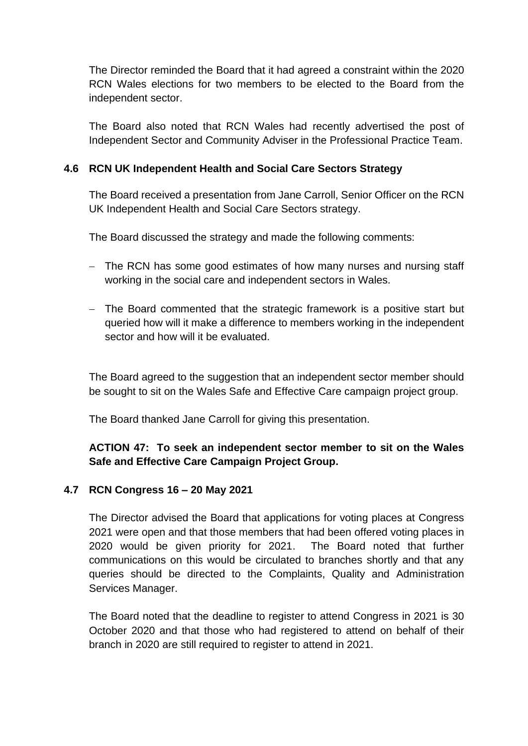The Director reminded the Board that it had agreed a constraint within the 2020 RCN Wales elections for two members to be elected to the Board from the independent sector.

The Board also noted that RCN Wales had recently advertised the post of Independent Sector and Community Adviser in the Professional Practice Team.

## **4.6 RCN UK Independent Health and Social Care Sectors Strategy**

The Board received a presentation from Jane Carroll, Senior Officer on the RCN UK Independent Health and Social Care Sectors strategy.

The Board discussed the strategy and made the following comments:

- − The RCN has some good estimates of how many nurses and nursing staff working in the social care and independent sectors in Wales.
- − The Board commented that the strategic framework is a positive start but queried how will it make a difference to members working in the independent sector and how will it be evaluated.

The Board agreed to the suggestion that an independent sector member should be sought to sit on the Wales Safe and Effective Care campaign project group.

The Board thanked Jane Carroll for giving this presentation.

# **ACTION 47: To seek an independent sector member to sit on the Wales Safe and Effective Care Campaign Project Group.**

## **4.7 RCN Congress 16 – 20 May 2021**

The Director advised the Board that applications for voting places at Congress 2021 were open and that those members that had been offered voting places in 2020 would be given priority for 2021. The Board noted that further communications on this would be circulated to branches shortly and that any queries should be directed to the Complaints, Quality and Administration Services Manager.

The Board noted that the deadline to register to attend Congress in 2021 is 30 October 2020 and that those who had registered to attend on behalf of their branch in 2020 are still required to register to attend in 2021.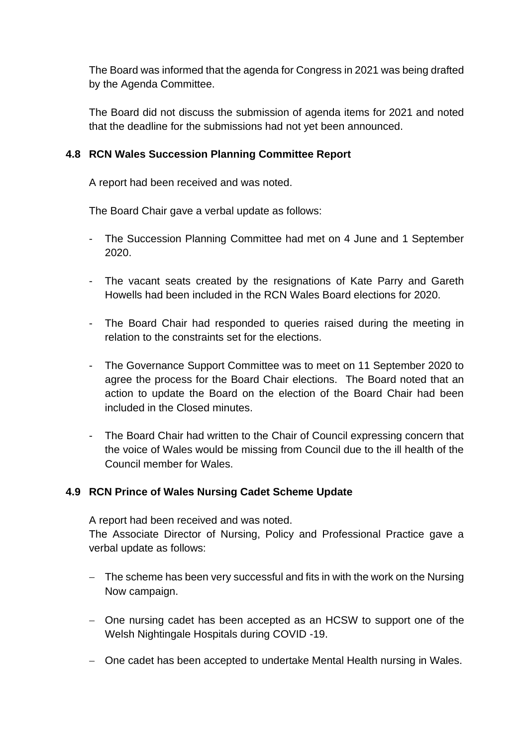The Board was informed that the agenda for Congress in 2021 was being drafted by the Agenda Committee.

The Board did not discuss the submission of agenda items for 2021 and noted that the deadline for the submissions had not yet been announced.

## **4.8 RCN Wales Succession Planning Committee Report**

A report had been received and was noted.

The Board Chair gave a verbal update as follows:

- The Succession Planning Committee had met on 4 June and 1 September 2020.
- The vacant seats created by the resignations of Kate Parry and Gareth Howells had been included in the RCN Wales Board elections for 2020.
- The Board Chair had responded to queries raised during the meeting in relation to the constraints set for the elections.
- The Governance Support Committee was to meet on 11 September 2020 to agree the process for the Board Chair elections. The Board noted that an action to update the Board on the election of the Board Chair had been included in the Closed minutes.
- The Board Chair had written to the Chair of Council expressing concern that the voice of Wales would be missing from Council due to the ill health of the Council member for Wales.

## **4.9 RCN Prince of Wales Nursing Cadet Scheme Update**

A report had been received and was noted.

The Associate Director of Nursing, Policy and Professional Practice gave a verbal update as follows:

- − The scheme has been very successful and fits in with the work on the Nursing Now campaign.
- − One nursing cadet has been accepted as an HCSW to support one of the Welsh Nightingale Hospitals during COVID -19.
- − One cadet has been accepted to undertake Mental Health nursing in Wales.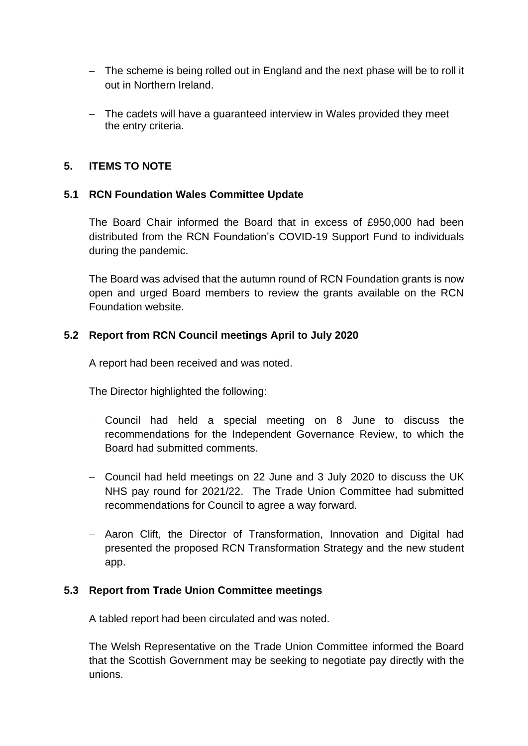- − The scheme is being rolled out in England and the next phase will be to roll it out in Northern Ireland.
- − The cadets will have a guaranteed interview in Wales provided they meet the entry criteria.

## **5. ITEMS TO NOTE**

#### **5.1 RCN Foundation Wales Committee Update**

The Board Chair informed the Board that in excess of £950,000 had been distributed from the RCN Foundation's COVID-19 Support Fund to individuals during the pandemic.

The Board was advised that the autumn round of RCN Foundation grants is now open and urged Board members to review the grants available on the RCN Foundation website.

#### **5.2 Report from RCN Council meetings April to July 2020**

A report had been received and was noted.

The Director highlighted the following:

- − Council had held a special meeting on 8 June to discuss the recommendations for the Independent Governance Review, to which the Board had submitted comments.
- − Council had held meetings on 22 June and 3 July 2020 to discuss the UK NHS pay round for 2021/22. The Trade Union Committee had submitted recommendations for Council to agree a way forward.
- − Aaron Clift, the Director of Transformation, Innovation and Digital had presented the proposed RCN Transformation Strategy and the new student app.

#### **5.3 Report from Trade Union Committee meetings**

A tabled report had been circulated and was noted.

The Welsh Representative on the Trade Union Committee informed the Board that the Scottish Government may be seeking to negotiate pay directly with the unions.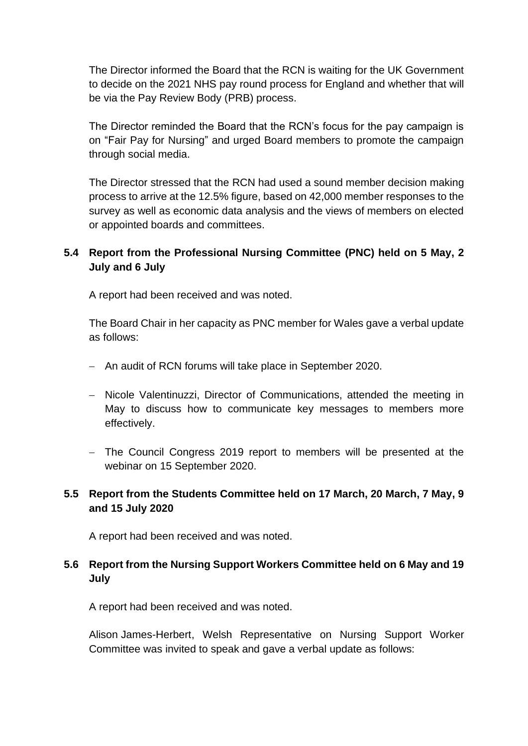The Director informed the Board that the RCN is waiting for the UK Government to decide on the 2021 NHS pay round process for England and whether that will be via the Pay Review Body (PRB) process.

The Director reminded the Board that the RCN's focus for the pay campaign is on "Fair Pay for Nursing" and urged Board members to promote the campaign through social media.

The Director stressed that the RCN had used a sound member decision making process to arrive at the 12.5% figure, based on 42,000 member responses to the survey as well as economic data analysis and the views of members on elected or appointed boards and committees.

# **5.4 Report from the Professional Nursing Committee (PNC) held on 5 May, 2 July and 6 July**

A report had been received and was noted.

The Board Chair in her capacity as PNC member for Wales gave a verbal update as follows:

- − An audit of RCN forums will take place in September 2020.
- − Nicole Valentinuzzi, Director of Communications, attended the meeting in May to discuss how to communicate key messages to members more effectively.
- − The Council Congress 2019 report to members will be presented at the webinar on 15 September 2020.

# **5.5 Report from the Students Committee held on 17 March, 20 March, 7 May, 9 and 15 July 2020**

A report had been received and was noted.

# **5.6 Report from the Nursing Support Workers Committee held on 6 May and 19 July**

A report had been received and was noted.

Alison James-Herbert, Welsh Representative on Nursing Support Worker Committee was invited to speak and gave a verbal update as follows: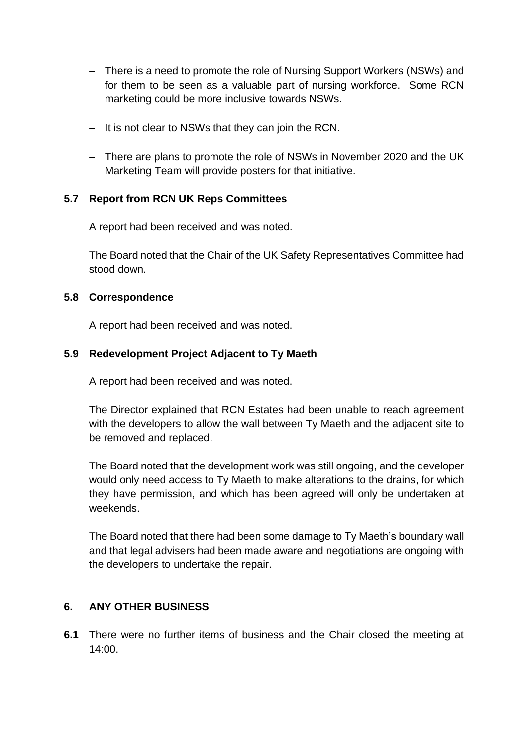- − There is a need to promote the role of Nursing Support Workers (NSWs) and for them to be seen as a valuable part of nursing workforce. Some RCN marketing could be more inclusive towards NSWs.
- − It is not clear to NSWs that they can join the RCN.
- − There are plans to promote the role of NSWs in November 2020 and the UK Marketing Team will provide posters for that initiative.

# **5.7 Report from RCN UK Reps Committees**

A report had been received and was noted.

The Board noted that the Chair of the UK Safety Representatives Committee had stood down.

## **5.8 Correspondence**

A report had been received and was noted.

# **5.9 Redevelopment Project Adjacent to Ty Maeth**

A report had been received and was noted.

The Director explained that RCN Estates had been unable to reach agreement with the developers to allow the wall between Ty Maeth and the adjacent site to be removed and replaced.

The Board noted that the development work was still ongoing, and the developer would only need access to Ty Maeth to make alterations to the drains, for which they have permission, and which has been agreed will only be undertaken at weekends.

The Board noted that there had been some damage to Ty Maeth's boundary wall and that legal advisers had been made aware and negotiations are ongoing with the developers to undertake the repair.

## **6. ANY OTHER BUSINESS**

**6.1** There were no further items of business and the Chair closed the meeting at  $14:00$